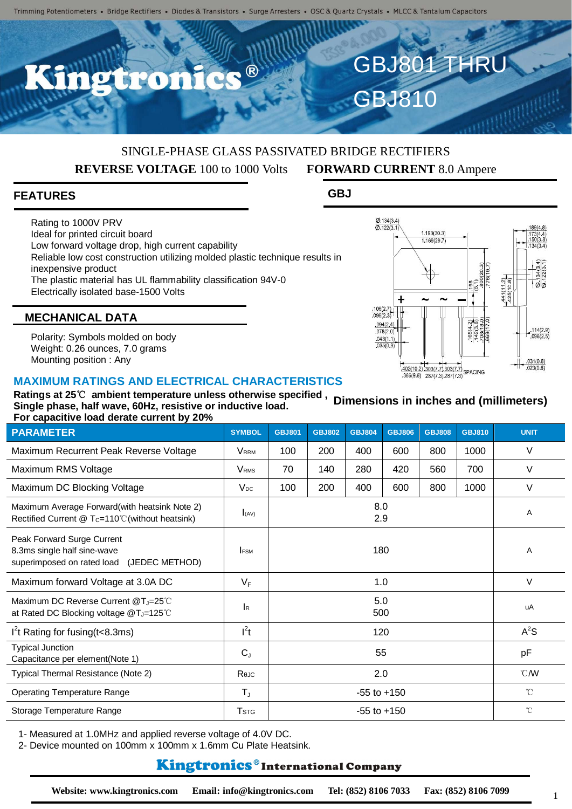O

# SINGLE-PHASE GLASS PASSIVATED BRIDGE RECTIFIERS **REVERSE VOLTAGE** 100 to 1000 Volts **FORWARD CURRENT** 8.0 Ampere

## **FEATURES**

Rating to 1000V PRV Ideal for printed circuit board Low forward voltage drop, high current capability Reliable low cost construction utilizing molded plastic technique results in inexpensive product The plastic material has UL flammability classification 94V-0 Electrically isolated base-1500 Volts

GBJ810

GBJ801 THRU

**GBJ**



# **MECHANICAL DATA**

Polarity: Symbols molded on body Weight: 0.26 ounces, 7.0 grams Mounting position : Any

### **MAXIMUM RATINGS AND ELECTRICAL CHARACTERISTICS**

**Ratings at 25**℃ **ambient temperature unless otherwise specified , Single phase, half wave, 60Hz, resistive or inductive load. For capacitive load derate current by 20% Dimensions in inches and (millimeters)**

| <b>PARAMETER</b>                                                                                            | <b>SYMBOL</b>           | <b>GBJ801</b>   | <b>GBJ802</b> | <b>GBJ804</b> | <b>GBJ806</b> | <b>GBJ808</b> | <b>GBJ810</b> | <b>UNIT</b>    |
|-------------------------------------------------------------------------------------------------------------|-------------------------|-----------------|---------------|---------------|---------------|---------------|---------------|----------------|
| Maximum Recurrent Peak Reverse Voltage                                                                      | <b>VRRM</b>             | 100             | 200           | 400           | 600           | 800           | 1000          | V              |
| Maximum RMS Voltage                                                                                         | <b>V</b> <sub>RMS</sub> | 70              | 140           | 280           | 420           | 560           | 700           | V              |
| Maximum DC Blocking Voltage                                                                                 | $V_{DC}$                | 100             | 200           | 400           | 600           | 800           | 1000          | $\vee$         |
| Maximum Average Forward(with heatsink Note 2)<br>Rectified Current @ $T_c=110^{\circ}$ C (without heatsink) | I(AV)                   | 8.0<br>2.9      |               |               |               |               |               | Α              |
| Peak Forward Surge Current<br>8.3ms single half sine-wave<br>superimposed on rated load (JEDEC METHOD)      | <b>IFSM</b>             | 180             |               |               |               |               |               | Α              |
| Maximum forward Voltage at 3.0A DC                                                                          | $V_F$                   | 1.0             |               |               |               |               |               | $\vee$         |
| Maximum DC Reverse Current @T <sub>J</sub> =25°C<br>at Rated DC Blocking voltage @T <sub>J</sub> =125℃      | lĸ.                     | 5.0<br>500      |               |               |               |               |               | uA             |
| $I2t$ Rating for fusing (t < 8.3ms)                                                                         | $l^2t$                  | 120             |               |               |               |               |               | $A^2S$         |
| <b>Typical Junction</b><br>Capacitance per element(Note 1)                                                  | $C_{J}$                 | 55              |               |               |               |               |               | pF             |
| Typical Thermal Resistance (Note 2)                                                                         | Reuc                    | 2.0             |               |               |               |               |               | $^{\circ}$ CMV |
| <b>Operating Temperature Range</b>                                                                          | $T_{\rm J}$             | $-55$ to $+150$ |               |               |               |               |               | $^{\circ}$ C   |
| Storage Temperature Range                                                                                   | <b>T</b> <sub>STG</sub> | $-55$ to $+150$ |               |               |               |               |               | $^{\circ}$ C   |

1- Measured at 1.0MHz and applied reverse voltage of 4.0V DC.

2- Device mounted on 100mm x 100mm x 1.6mm Cu Plate Heatsink.

# **Kingtronics**®International Company

1